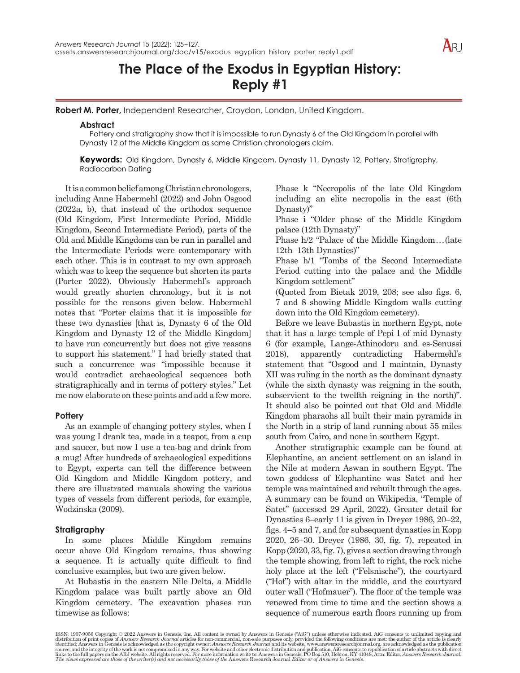# **The Place of the Exodus in Egyptian History: Reply #1**

**Robert M. Porter,** Independent Researcher, Croydon, London, United Kingdom.

### **Abstract**

Pottery and stratigraphy show that it is impossible to run Dynasty 6 of the Old Kingdom in parallel with Dynasty 12 of the Middle Kingdom as some Christian chronologers claim.

**Keywords:** Old Kingdom, Dynasty 6, Middle Kingdom, Dynasty 11, Dynasty 12, Pottery, Stratigraphy, Radiocarbon Dating

It is a common belief among Christian chronologers, including Anne Habermehl (2022) and John Osgood (2022a, b), that instead of the orthodox sequence (Old Kingdom, First Intermediate Period, Middle Kingdom, Second Intermediate Period), parts of the Old and Middle Kingdoms can be run in parallel and the Intermediate Periods were contemporary with each other. This is in contrast to my own approach which was to keep the sequence but shorten its parts (Porter 2022). Obviously Habermehl's approach would greatly shorten chronology, but it is not possible for the reasons given below. Habermehl notes that "Porter claims that it is impossible for these two dynasties [that is, Dynasty 6 of the Old Kingdom and Dynasty 12 of the Middle Kingdom] to have run concurrently but does not give reasons to support his statement." I had briefly stated that such a concurrence was "impossible because it would contradict archaeological sequences both stratigraphically and in terms of pottery styles." Let me now elaborate on these points and add a few more.

## **Pottery**

As an example of changing pottery styles, when I was young I drank tea, made in a teapot, from a cup and saucer, but now I use a tea-bag and drink from a mug! After hundreds of archaeological expeditions to Egypt, experts can tell the difference between Old Kingdom and Middle Kingdom pottery, and there are illustrated manuals showing the various types of vessels from different periods, for example, Wodzinska (2009).

## **Stratigraphy**

In some places Middle Kingdom remains occur above Old Kingdom remains, thus showing a sequence. It is actually quite difficult to find conclusive examples, but two are given below.

At Bubastis in the eastern Nile Delta, a Middle Kingdom palace was built partly above an Old Kingdom cemetery. The excavation phases run timewise as follows:

Phase k "Necropolis of the late Old Kingdom including an elite necropolis in the east (6th Dynasty)"

Phase i "Older phase of the Middle Kingdom palace (12th Dynasty)"

Phase h/2 "Palace of the Middle Kingdom...(late 12th–13th Dynasties)"

Phase h/1 "Tombs of the Second Intermediate Period cutting into the palace and the Middle Kingdom settlement"

(Quoted from Bietak 2019, 208; see also figs. 6, 7 and 8 showing Middle Kingdom walls cutting down into the Old Kingdom cemetery).

Before we leave Bubastis in northern Egypt, note that it has a large temple of Pepi I of mid Dynasty 6 (for example, Lange-Athinodoru and es-Senussi 2018), apparently contradicting Habermehl's statement that "Osgood and I maintain, Dynasty XII was ruling in the north as the dominant dynasty (while the sixth dynasty was reigning in the south, subservient to the twelfth reigning in the north)". It should also be pointed out that Old and Middle Kingdom pharaohs all built their main pyramids in the North in a strip of land running about 55 miles south from Cairo, and none in southern Egypt.

Another stratigraphic example can be found at Elephantine, an ancient settlement on an island in the Nile at modern Aswan in southern Egypt. The town goddess of Elephantine was Satet and her temple was maintained and rebuilt through the ages. A summary can be found on Wikipedia, "Temple of Satet" (accessed 29 April, 2022). Greater detail for Dynasties 6–early 11 is given in Dreyer 1986, 20–22, figs. 4–5 and 7, and for subsequent dynasties in Kopp 2020, 26–30. Dreyer (1986, 30, fig. 7), repeated in Kopp (2020, 33, fig. 7), gives a section drawing through the temple showing, from left to right, the rock niche holy place at the left ("Felsnische"), the courtyard ("Hof") with altar in the middle, and the courtyard outer wall ("Hofmauer"). The floor of the temple was renewed from time to time and the section shows a sequence of numerous earth floors running up from

ISSN: 1937-9056 Copyright © 2022 Answers in Genesis, Inc. All content is owned by Answers in Genesis ("AiG") unless otherwise indicated. AiG consents to unlimited copying and distribution of print copies of *Answers* in G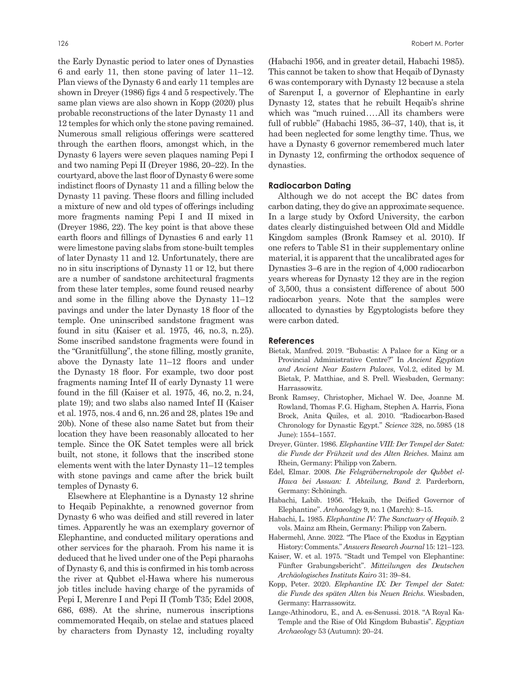the Early Dynastic period to later ones of Dynasties 6 and early 11, then stone paving of later 11–12. Plan views of the Dynasty 6 and early 11 temples are shown in Dreyer (1986) figs 4 and 5 respectively. The same plan views are also shown in Kopp (2020) plus probable reconstructions of the later Dynasty 11 and 12 temples for which only the stone paving remained. Numerous small religious offerings were scattered through the earthen floors, amongst which, in the Dynasty 6 layers were seven plaques naming Pepi I and two naming Pepi II (Dreyer 1986, 20–22). In the courtyard, above the last floor of Dynasty 6 were some indistinct floors of Dynasty 11 and a filling below the Dynasty 11 paving. These floors and filling included a mixture of new and old types of offerings including more fragments naming Pepi I and II mixed in (Dreyer 1986, 22). The key point is that above these earth floors and fillings of Dynasties 6 and early 11 were limestone paving slabs from stone-built temples of later Dynasty 11 and 12. Unfortunately, there are no in situ inscriptions of Dynasty 11 or 12, but there are a number of sandstone architectural fragments from these later temples, some found reused nearby and some in the filling above the Dynasty 11–12 pavings and under the later Dynasty 18 floor of the temple. One uninscribed sandstone fragment was found in situ (Kaiser et al. 1975, 46, no.3, n.25). Some inscribed sandstone fragments were found in the "Granitfüllung", the stone filling, mostly granite, above the Dynasty late 11–12 floors and under the Dynasty 18 floor. For example, two door post fragments naming Intef II of early Dynasty 11 were found in the fill (Kaiser et al. 1975, 46, no.2, n.24, plate 19); and two slabs also named Intef II (Kaiser et al. 1975, nos.4 and 6, nn.26 and 28, plates 19e and 20b). None of these also name Satet but from their location they have been reasonably allocated to her temple. Since the OK Satet temples were all brick built, not stone, it follows that the inscribed stone elements went with the later Dynasty 11–12 temples with stone pavings and came after the brick built temples of Dynasty 6.

Elsewhere at Elephantine is a Dynasty 12 shrine to Heqaib Pepinakhte, a renowned governor from Dynasty 6 who was deified and still revered in later times. Apparently he was an exemplary governor of Elephantine, and conducted military operations and other services for the pharaoh. From his name it is deduced that he lived under one of the Pepi pharaohs of Dynasty 6, and this is confirmed in his tomb across the river at Qubbet el-Hawa where his numerous job titles include having charge of the pyramids of Pepi I, Merenre I and Pepi II (Tomb T35; Edel 2008, 686, 698). At the shrine, numerous inscriptions commemorated Heqaib, on stelae and statues placed by characters from Dynasty 12, including royalty

(Habachi 1956, and in greater detail, Habachi 1985). This cannot be taken to show that Heqaib of Dynasty 6 was contemporary with Dynasty 12 because a stela of Sarenput I, a governor of Elephantine in early Dynasty 12, states that he rebuilt Heqaib's shrine which was "much ruined....All its chambers were full of rubble" (Habachi 1985, 36–37, 140), that is, it had been neglected for some lengthy time. Thus, we have a Dynasty 6 governor remembered much later in Dynasty 12, confirming the orthodox sequence of dynasties.

### **Radiocarbon Dating**

Although we do not accept the BC dates from carbon dating, they do give an approximate sequence. In a large study by Oxford University, the carbon dates clearly distinguished between Old and Middle Kingdom samples (Bronk Ramsey et al. 2010). If one refers to Table S1 in their supplementary online material, it is apparent that the uncalibrated ages for Dynasties 3–6 are in the region of 4,000 radiocarbon years whereas for Dynasty 12 they are in the region of 3,500, thus a consistent difference of about 500 radiocarbon years. Note that the samples were allocated to dynasties by Egyptologists before they were carbon dated.

#### **References**

- Bietak, Manfred. 2019. "Bubastis: A Palace for a King or a Provincial Administrative Centre?" In *Ancient Egyptian and Ancient Near Eastern Palaces*, Vol.2, edited by M. Bietak, P. Matthiae, and S. Prell. Wiesbaden, Germany: Harrassowitz.
- Bronk Ramsey, Christopher, Michael W. Dee, Joanne M. Rowland, Thomas F.G. Higham, Stephen A. Harris, Fiona Brock, Anita Quiles, et al. 2010. "Radiocarbon-Based Chronology for Dynastic Egypt." *Science* 328, no.5985 (18 June): 1554–1557.
- Dreyer, Günter. 1986. *Elephantine VIII: Der Tempel der Satet: die Funde der Frühzeit und des Alten Reiches*. Mainz am Rhein, Germany: Philipp von Zabern.
- Edel, Elmar. 2008. *Die Felsgräbernekropole der Qubbet el-Hawa bei Assuan: I. Abteilung, Band 2*. Parderborn, Germany: Schöningh.
- Habachi, Labib. 1956. "Hekaib, the Deified Governor of Elephantine". *Archaeology* 9, no.1 (March): 8–15.
- Habachi, L. 1985. *Elephantine IV: The Sanctuary of Heqaib*. 2 vols. Mainz am Rhein, Germany: Philipp von Zabern.
- Habermehl, Anne. 2022. "The Place of the Exodus in Egyptian History: Comments." *Answers Research Journal* 15: 121–123.
- Kaiser, W. et al. 1975. "Stadt und Tempel von Elephantine: Fünfter Grabungsbericht". *Mitteilungen des Deutschen Archäologisches Instituts Kairo* 31: 39–84.
- Kopp, Peter. 2020. *Elephantine IX: Der Tempel der Satet: die Funde des späten Alten bis Neuen Reichs*. Wiesbaden, Germany: Harrassowitz.
- Lange-Athinodoru, E., and A. es-Senussi. 2018. "A Royal Ka-Temple and the Rise of Old Kingdom Bubastis". *Egyptian Archaeology* 53 (Autumn): 20–24.